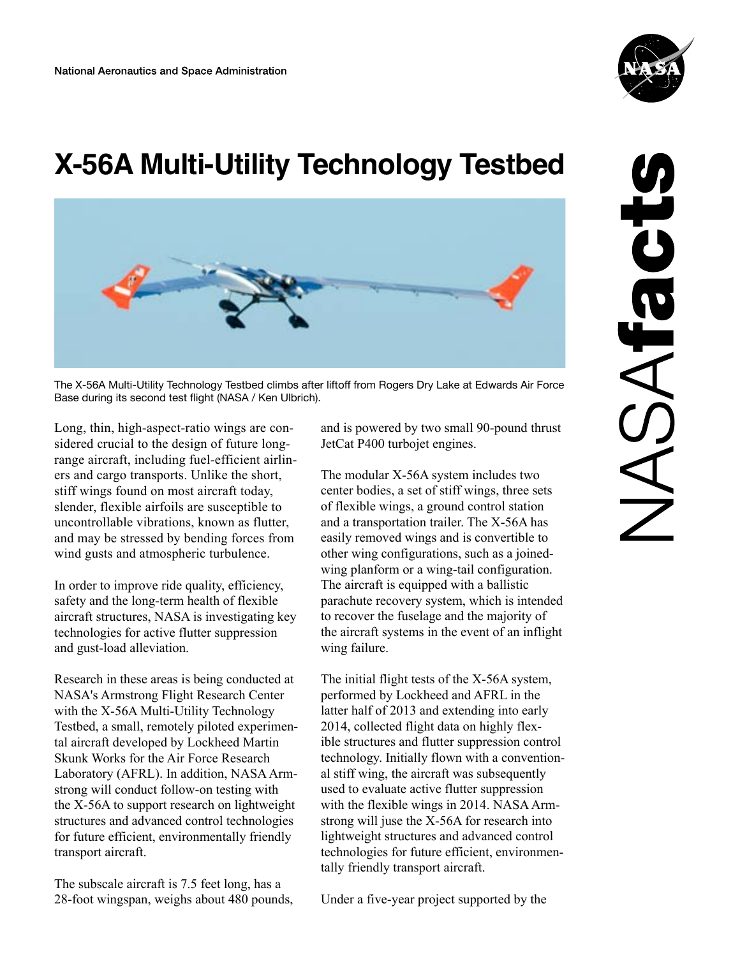

## **X-56A Multi-Utility Technology Testbed**



The X-56A Multi-Utility Technology Testbed climbs after liftoff from Rogers Dry Lake at Edwards Air Force Base during its second test flight (NASA / Ken Ulbrich).

Long, thin, high-aspect-ratio wings are considered crucial to the design of future longrange aircraft, including fuel-efficient airliners and cargo transports. Unlike the short, stiff wings found on most aircraft today, slender, flexible airfoils are susceptible to uncontrollable vibrations, known as flutter, and may be stressed by bending forces from wind gusts and atmospheric turbulence.

In order to improve ride quality, efficiency, safety and the long-term health of flexible aircraft structures, NASA is investigating key technologies for active flutter suppression and gust-load alleviation.

Research in these areas is being conducted at NASA's Armstrong Flight Research Center with the X-56A Multi-Utility Technology Testbed, a small, remotely piloted experimental aircraft developed by Lockheed Martin Skunk Works for the Air Force Research Laboratory (AFRL). In addition, NASA Armstrong will conduct follow-on testing with the X-56A to support research on lightweight structures and advanced control technologies for future efficient, environmentally friendly transport aircraft.

The subscale aircraft is 7.5 feet long, has a 28-foot wingspan, weighs about 480 pounds, and is powered by two small 90-pound thrust JetCat P400 turbojet engines.

The modular X-56A system includes two center bodies, a set of stiff wings, three sets of flexible wings, a ground control station and a transportation trailer. The X-56A has easily removed wings and is convertible to other wing configurations, such as a joinedwing planform or a wing-tail configuration. The aircraft is equipped with a ballistic parachute recovery system, which is intended to recover the fuselage and the majority of the aircraft systems in the event of an inflight wing failure.

The initial flight tests of the X-56A system, performed by Lockheed and AFRL in the latter half of 2013 and extending into early 2014, collected flight data on highly flexible structures and flutter suppression control technology. Initially flown with a conventional stiff wing, the aircraft was subsequently used to evaluate active flutter suppression with the flexible wings in 2014. NASA Armstrong will juse the X-56A for research into lightweight structures and advanced control technologies for future efficient, environmentally friendly transport aircraft.

Under a five-year project supported by the